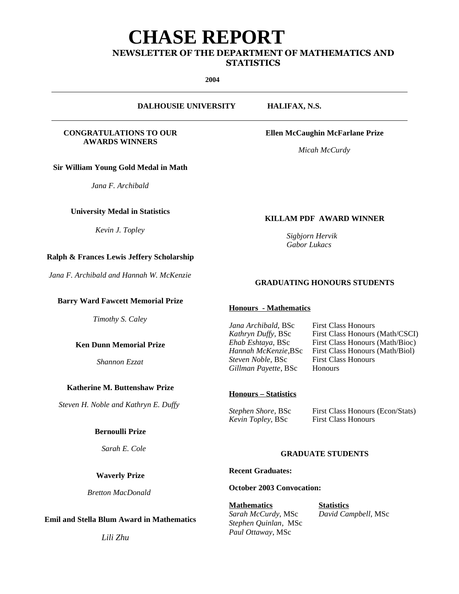# **CHASE REPORT**

# **NEWSLETTER OF THE DEPARTMENT OF MATHEMATICS AND STATISTICS**

**2004**

**DALHOUSIE UNIVERSITY HALIFAX, N.S.**

#### **CONGRATULATIONS TO OUR AWARDS WINNERS**

**Sir William Young Gold Medal in Math**

*Jana F. Archibald*

# **University Medal in Statistics**

*Kevin J. Topley*

# **Ralph & Frances Lewis Jeffery Scholarship**

*Jana F. Archibald and Hannah W. McKenzie*

#### **Barry Ward Fawcett Memorial Prize**

*Timothy S. Caley*

**Ken Dunn Memorial Prize**

*Shannon Ezzat*

# **Katherine M. Buttenshaw Prize**

*Steven H. Noble and Kathryn E. Duffy*

#### **Bernoulli Prize**

*Sarah E. Cole*

# **Waverly Prize**

*Bretton MacDonald*

# **Emil and Stella Blum Award in Mathematics**

*Lili Zhu*

**Ellen McCaughin McFarlane Prize**

*Micah McCurdy*

# **KILLAM PDF AWARD WINNER**

*Sigbjorn Hervik Gabor Lukacs*

# **GRADUATING HONOURS STUDENTS**

# **Honours - Mathematics**

*Gillman Payette*, BSc Honours

**First Class Honours (Math/CSCI)** 

# **Honours – Statistics**

*Kevin Topley*, BSc

*Stephen Shore*, BSc First Class Honours (Econ/Stats)<br> *Kevin Tonley*. BSc First Class Honours

# **GRADUATE STUDENTS**

**Recent Graduates:**

**October 2003 Convocation:**

**Mathematics Statistics** *Sarah McCurdy*, MSc *David Campbell*, MSc *Stephen Quinlan*, MSc *Paul Ottaway*, MSc

*Steven Noble, BSc* 

*Jana Archibald, BSc* First Class Honours<br> *Kathryn Duffy, BSc* First Class Honours *Ehab Eshtaya, BSc* First Class Honours (Math/Bioc)<br>*Hannah McKenzie.BSc* First Class Honours (Math/Biol) **First Class Honours (Math/Biol)**<br>**First Class Honours**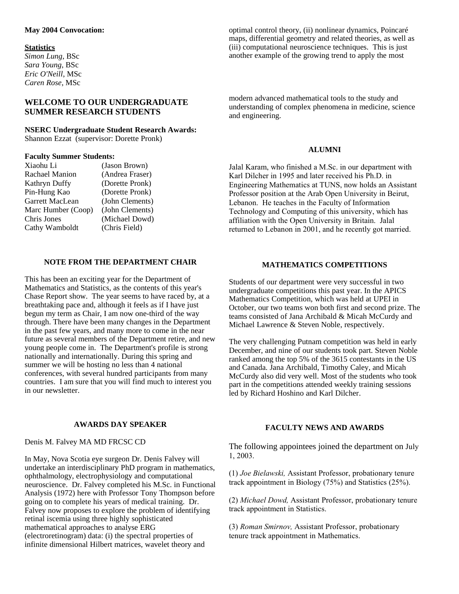# **May 2004 Convocation:**

#### **Statistics**

*Simon Lung*, BSc *Sara Young*, BSc *Eric O'Neill*, MSc *Caren Rose*, MSc

# **WELCOME TO OUR UNDERGRADUATE SUMMER RESEARCH STUDENTS**

#### **NSERC Undergraduate Student Research Awards:** Shannon Ezzat (supervisor: Dorette Pronk)

#### **Faculty Summer Students:**

| Xiaohu Li          | (Jason Brown)   |
|--------------------|-----------------|
| Rachael Manion     | (Andrea Fraser) |
| Kathryn Duffy      | (Dorette Pronk) |
| Pin-Hung Kao       | (Dorette Pronk) |
| Garrett MacLean    | (John Clements) |
| Marc Humber (Coop) | (John Clements) |
| Chris Jones        | (Michael Dowd)  |
| Cathy Wamboldt     | (Chris Field)   |
|                    |                 |

#### **NOTE FROM THE DEPARTMENT CHAIR**

This has been an exciting year for the Department of Mathematics and Statistics, as the contents of this year's Chase Report show. The year seems to have raced by, at a breathtaking pace and, although it feels as if I have just begun my term as Chair, I am now one-third of the way through. There have been many changes in the Department in the past few years, and many more to come in the near future as several members of the Department retire, and new young people come in. The Department's profile is strong nationally and internationally. During this spring and summer we will be hosting no less than 4 national conferences, with several hundred participants from many countries. I am sure that you will find much to interest you in our newsletter.

# optimal control theory, (ii) nonlinear dynamics, Poincaré maps, differential geometry and related theories, as well as (iii) computational neuroscience techniques. This is just another example of the growing trend to apply the most

modern advanced mathematical tools to the study and understanding of complex phenomena in medicine, science and engineering.

#### **ALUMNI**

Jalal Karam, who finished a M.Sc. in our department with Karl Dilcher in 1995 and later received his Ph.D. in Engineering Mathematics at TUNS, now holds an Assistant Professor position at the Arab Open University in Beirut, Lebanon. He teaches in the Faculty of Information Technology and Computing of this university, which has affiliation with the Open University in Britain. Jalal returned to Lebanon in 2001, and he recently got married.

#### **MATHEMATICS COMPETITIONS**

Students of our department were very successful in two undergraduate competitions this past year. In the APICS Mathematics Competition, which was held at UPEI in October, our two teams won both first and second prize. The teams consisted of Jana Archibald & Micah McCurdy and Michael Lawrence & Steven Noble, respectively.

The very challenging Putnam competition was held in early December, and nine of our students took part. Steven Noble ranked among the top 5% of the 3615 contestants in the US and Canada. Jana Archibald, Timothy Caley, and Micah McCurdy also did very well. Most of the students who took part in the competitions attended weekly training sessions led by Richard Hoshino and Karl Dilcher.

#### **AWARDS DAY SPEAKER**

Denis M. Falvey MA MD FRCSC CD

In May, Nova Scotia eye surgeon Dr. Denis Falvey will undertake an interdisciplinary PhD program in mathematics, ophthalmology, electrophysiology and computational neuroscience. Dr. Falvey completed his M.Sc. in Functional Analysis (1972) here with Professor Tony Thompson before going on to complete his years of medical training. Dr. Falvey now proposes to explore the problem of identifying retinal iscemia using three highly sophisticated mathematical approaches to analyse ERG (electroretinogram) data: (i) the spectral properties of infinite dimensional Hilbert matrices, wavelet theory and

#### **FACULTY NEWS AND AWARDS**

The following appointees joined the department on July 1, 2003.

(1) *Joe Bielawski,* Assistant Professor, probationary tenure track appointment in Biology (75%) and Statistics (25%).

(2) *Michael Dowd,* Assistant Professor, probationary tenure track appointment in Statistics.

(3) *Roman Smirnov,* Assistant Professor, probationary tenure track appointment in Mathematics.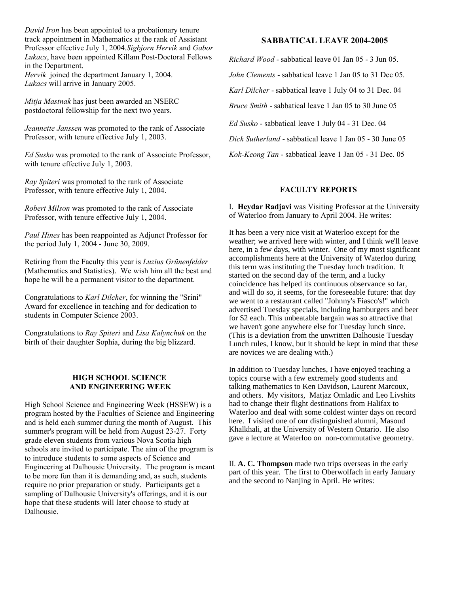*David Iron* has been appointed to a probationary tenure track appointment in Mathematics at the rank of Assistant Professor effective July 1, 2004.*Sigbjorn Hervik* and *Gabor Lukacs*, have been appointed Killam Post-Doctoral Fellows in the Department. *Hervik* joined the department January 1, 2004. *Lukacs* will arrive in January 2005.

*Mitja Mastnak* has just been awarded an NSERC postdoctoral fellowship for the next two years.

*Jeannette Janssen* was promoted to the rank of Associate Professor, with tenure effective July 1, 2003.

*Ed Susko* was promoted to the rank of Associate Professor, with tenure effective July 1, 2003.

*Ray Spiteri* was promoted to the rank of Associate Professor, with tenure effective July 1, 2004.

*Robert Milson* was promoted to the rank of Associate Professor, with tenure effective July 1, 2004.

*Paul Hines* has been reappointed as Adjunct Professor for the period July 1, 2004 - June 30, 2009.

Retiring from the Faculty this year is *Luzius Grünenfelder* (Mathematics and Statistics). We wish him all the best and hope he will be a permanent visitor to the department.

Congratulations to *Karl Dilcher*, for winning the "Srini" Award for excellence in teaching and for dedication to students in Computer Science 2003.

Congratulations to *Ray Spiteri* and *Lisa Kalynchuk* on the birth of their daughter Sophia, during the big blizzard.

#### **HIGH SCHOOL SCIENCE AND ENGINEERING WEEK**

High School Science and Engineering Week (HSSEW) is a program hosted by the Faculties of Science and Engineering and is held each summer during the month of August. This summer's program will be held from August 23-27. Forty grade eleven students from various Nova Scotia high schools are invited to participate. The aim of the program is to introduce students to some aspects of Science and Engineering at Dalhousie University. The program is meant to be more fun than it is demanding and, as such, students require no prior preparation or study. Participants get a sampling of Dalhousie University's offerings, and it is our hope that these students will later choose to study at Dalhousie.

#### **SABBATICAL LEAVE 2004-2005**

*Richard Wood* - sabbatical leave 01 Jan 05 - 3 Jun 05.

*John Clements* - sabbatical leave 1 Jan 05 to 31 Dec 05.

*Karl Dilcher* - sabbatical leave 1 July 04 to 31 Dec. 04

*Bruce Smith* - sabbatical leave 1 Jan 05 to 30 June 05

*Ed Susko* - sabbatical leave 1 July 04 - 31 Dec. 04

*Dick Sutherland* - sabbatical leave 1 Jan 05 - 30 June 05

*Kok-Keong Tan* - sabbatical leave 1 Jan 05 - 31 Dec. 05

#### **FACULTY REPORTS**

I. **Heydar Radjavi** was Visiting Professor at the University of Waterloo from January to April 2004. He writes:

It has been a very nice visit at Waterloo except for the weather; we arrived here with winter, and I think we'll leave here, in a few days, with winter. One of my most significant accomplishments here at the University of Waterloo during this term was instituting the Tuesday lunch tradition. It started on the second day of the term, and a lucky coincidence has helped its continuous observance so far, and will do so, it seems, for the foreseeable future: that day we went to a restaurant called "Johnny's Fiasco's!" which advertised Tuesday specials, including hamburgers and beer for \$2 each. This unbeatable bargain was so attractive that we haven't gone anywhere else for Tuesday lunch since. (This is a deviation from the unwritten Dalhousie Tuesday Lunch rules, I know, but it should be kept in mind that these are novices we are dealing with.)

In addition to Tuesday lunches, I have enjoyed teaching a topics course with a few extremely good students and talking mathematics to Ken Davidson, Laurent Marcoux, and others. My visitors, Matjaz Omladic and Leo Livshits had to change their flight destinations from Halifax to Waterloo and deal with some coldest winter days on record here. I visited one of our distinguished alumni, Masoud Khalkhali, at the University of Western Ontario. He also gave a lecture at Waterloo on non-commutative geometry.

II. **A. C. Thompson** made two trips overseas in the early part of this year. The first to Oberwolfach in early January and the second to Nanjing in April. He writes: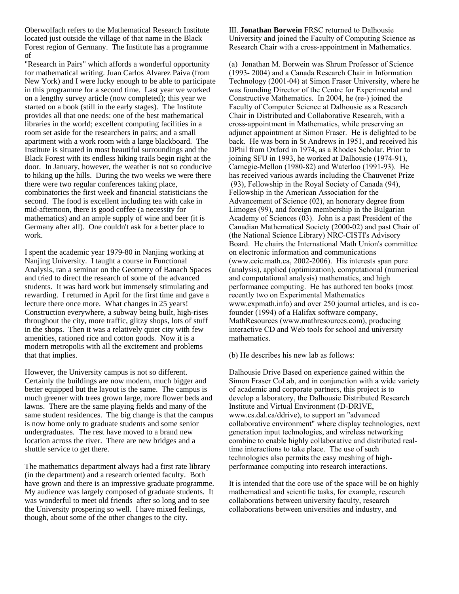Oberwolfach refers to the Mathematical Research Institute located just outside the village of that name in the Black Forest region of Germany. The Institute has a programme of

"Research in Pairs" which affords a wonderful opportunity for mathematical writing. Juan Carlos Alvarez Paiva (from New York) and I were lucky enough to be able to participate in this programme for a second time. Last year we worked on a lengthy survey article (now completed); this year we started on a book (still in the early stages). The Institute provides all that one needs: one of the best mathematical libraries in the world; excellent computing facilities in a room set aside for the researchers in pairs; and a small apartment with a work room with a large blackboard. The Institute is situated in most beautiful surroundings and the Black Forest with its endless hiking trails begin right at the door. In January, however, the weather is not so conducive to hiking up the hills. During the two weeks we were there there were two regular conferences taking place, combinatorics the first week and financial statisticians the second. The food is excellent including tea with cake in mid-afternoon, there is good coffee (a necessity for mathematics) and an ample supply of wine and beer (it is Germany after all). One couldn't ask for a better place to work.

I spent the academic year 1979-80 in Nanjing working at Nanjing University. I taught a course in Functional Analysis, ran a seminar on the Geometry of Banach Spaces and tried to direct the research of some of the advanced students. It was hard work but immensely stimulating and rewarding. I returned in April for the first time and gave a lecture there once more. What changes in 25 years! Construction everywhere, a subway being built, high-rises throughout the city, more traffic, glitzy shops, lots of stuff in the shops. Then it was a relatively quiet city with few amenities, rationed rice and cotton goods. Now it is a modern metropolis with all the excitement and problems that that implies.

However, the University campus is not so different. Certainly the buildings are now modern, much bigger and better equipped but the layout is the same. The campus is much greener with trees grown large, more flower beds and lawns. There are the same playing fields and many of the same student residences. The big change is that the campus is now home only to graduate students and some senior undergraduates. The rest have moved to a brand new location across the river. There are new bridges and a shuttle service to get there.

The mathematics department always had a first rate library (in the department) and a research oriented faculty. Both have grown and there is an impressive graduate programme. My audience was largely composed of graduate students. It was wonderful to meet old friends after so long and to see the University prospering so well. I have mixed feelings, though, about some of the other changes to the city.

III. **Jonathan Borwein** FRSC returned to Dalhousie University and joined the Faculty of Computing Science as Research Chair with a cross-appointment in Mathematics.

(a) Jonathan M. Borwein was Shrum Professor of Science (1993- 2004) and a Canada Research Chair in Information Technology (2001-04) at Simon Fraser University, where he was founding Director of the Centre for Experimental and Constructive Mathematics. In 2004, he (re-) joined the Faculty of Computer Science at Dalhousie as a Research Chair in Distributed and Collaborative Research, with a cross-appointment in Mathematics, while preserving an adjunct appointment at Simon Fraser. He is delighted to be back. He was born in St Andrews in 1951, and received his DPhil from Oxford in 1974, as a Rhodes Scholar. Prior to joining SFU in 1993, he worked at Dalhousie (1974-91), Carnegie-Mellon (1980-82) and Waterloo (1991-93). He has received various awards including the Chauvenet Prize (93), Fellowship in the Royal Society of Canada (94), Fellowship in the American Association for the Advancement of Science (02), an honorary degree from Limoges (99), and foreign membership in the Bulgarian Academy of Sciences (03). John is a past President of the Canadian Mathematical Society (2000-02) and past Chair of (the National Science Library) NRC-CISTI's Advisory Board. He chairs the International Math Union's committee on electronic information and communications (www.ceic.math.ca, 2002-2006). His interests span pure (analysis), applied (optimization), computational (numerical and computational analysis) mathematics, and high performance computing. He has authored ten books (most recently two on Experimental Mathematics www.expmath.info) and over 250 journal articles, and is cofounder (1994) of a Halifax software company, MathResources (www.mathresources.com), producing interactive CD and Web tools for school and university mathematics.

(b) He describes his new lab as follows:

Dalhousie Drive Based on experience gained within the Simon Fraser CoLab, and in conjunction with a wide variety of academic and corporate partners, this project is to develop a laboratory, the Dalhousie Distributed Research Institute and Virtual Environment (D-DRIVE, www.cs.dal.ca/ddrive), to support an "advanced collaborative environment" where display technologies, next generation input technologies, and wireless networking combine to enable highly collaborative and distributed realtime interactions to take place. The use of such technologies also permits the easy meshing of highperformance computing into research interactions.

It is intended that the core use of the space will be on highly mathematical and scientific tasks, for example, research collaborations between university faculty, research collaborations between universities and industry, and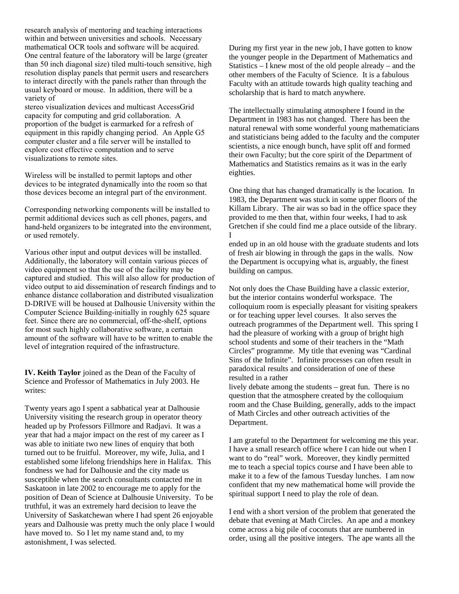research analysis of mentoring and teaching interactions within and between universities and schools. Necessary mathematical OCR tools and software will be acquired. One central feature of the laboratory will be large (greater than 50 inch diagonal size) tiled multi-touch sensitive, high resolution display panels that permit users and researchers to interact directly with the panels rather than through the usual keyboard or mouse. In addition, there will be a variety of

stereo visualization devices and multicast AccessGrid capacity for computing and grid collaboration. A proportion of the budget is earmarked for a refresh of equipment in this rapidly changing period. An Apple G5 computer cluster and a file server will be installed to explore cost effective computation and to serve visualizations to remote sites.

Wireless will be installed to permit laptops and other devices to be integrated dynamically into the room so that those devices become an integral part of the environment.

Corresponding networking components will be installed to permit additional devices such as cell phones, pagers, and hand-held organizers to be integrated into the environment, or used remotely.

Various other input and output devices will be installed. Additionally, the laboratory will contain various pieces of video equipment so that the use of the facility may be captured and studied. This will also allow for production of video output to aid dissemination of research findings and to enhance distance collaboration and distributed visualization D-DRIVE will be housed at Dalhousie University within the Computer Science Building-initially in roughly 625 square feet. Since there are no commercial, off-the-shelf, options for most such highly collaborative software, a certain amount of the software will have to be written to enable the level of integration required of the infrastructure.

**IV. Keith Taylor** joined as the Dean of the Faculty of Science and Professor of Mathematics in July 2003. He writes:

Twenty years ago I spent a sabbatical year at Dalhousie University visiting the research group in operator theory headed up by Professors Fillmore and Radjavi. It was a year that had a major impact on the rest of my career as I was able to initiate two new lines of enquiry that both turned out to be fruitful. Moreover, my wife, Julia, and I established some lifelong friendships here in Halifax. This fondness we had for Dalhousie and the city made us susceptible when the search consultants contacted me in Saskatoon in late 2002 to encourage me to apply for the position of Dean of Science at Dalhousie University. To be truthful, it was an extremely hard decision to leave the University of Saskatchewan where I had spent 26 enjoyable years and Dalhousie was pretty much the only place I would have moved to. So I let my name stand and, to my astonishment, I was selected.

During my first year in the new job, I have gotten to know the younger people in the Department of Mathematics and Statistics – I knew most of the old people already – and the other members of the Faculty of Science. It is a fabulous Faculty with an attitude towards high quality teaching and scholarship that is hard to match anywhere.

The intellectually stimulating atmosphere I found in the Department in 1983 has not changed. There has been the natural renewal with some wonderful young mathematicians and statisticians being added to the faculty and the computer scientists, a nice enough bunch, have split off and formed their own Faculty; but the core spirit of the Department of Mathematics and Statistics remains as it was in the early eighties.

One thing that has changed dramatically is the location. In 1983, the Department was stuck in some upper floors of the Killam Library. The air was so bad in the office space they provided to me then that, within four weeks, I had to ask Gretchen if she could find me a place outside of the library. I

ended up in an old house with the graduate students and lots of fresh air blowing in through the gaps in the walls. Now the Department is occupying what is, arguably, the finest building on campus.

Not only does the Chase Building have a classic exterior, but the interior contains wonderful workspace. The colloquium room is especially pleasant for visiting speakers or for teaching upper level courses. It also serves the outreach programmes of the Department well. This spring I had the pleasure of working with a group of bright high school students and some of their teachers in the "Math Circles" programme. My title that evening was "Cardinal Sins of the Infinite". Infinite processes can often result in paradoxical results and consideration of one of these resulted in a rather

lively debate among the students – great fun. There is no question that the atmosphere created by the colloquium room and the Chase Building, generally, adds to the impact of Math Circles and other outreach activities of the Department.

I am grateful to the Department for welcoming me this year. I have a small research office where I can hide out when I want to do "real" work. Moreover, they kindly permitted me to teach a special topics course and I have been able to make it to a few of the famous Tuesday lunches. I am now confident that my new mathematical home will provide the spiritual support I need to play the role of dean.

I end with a short version of the problem that generated the debate that evening at Math Circles. An ape and a monkey come across a big pile of coconuts that are numbered in order, using all the positive integers. The ape wants all the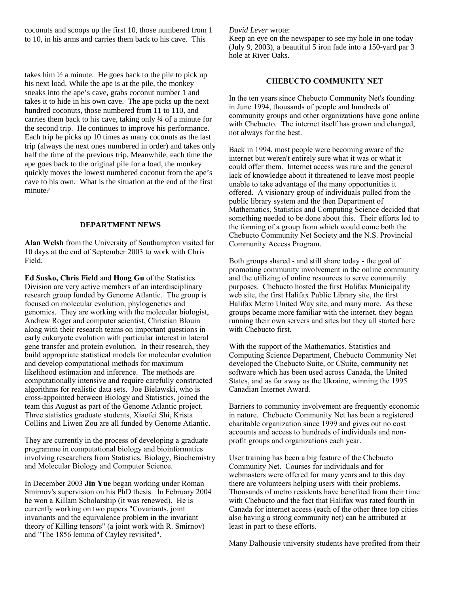coconuts and scoops up the first 10, those numbered from 1 to 10, in his arms and carries them back to his cave. This

takes him  $\frac{1}{2}$  a minute. He goes back to the pile to pick up his next load. While the ape is at the pile, the monkey sneaks into the ape's cave, grabs coconut number 1 and takes it to hide in his own cave. The ape picks up the next hundred coconuts, those numbered from 11 to 110, and carries them back to his cave, taking only ¼ of a minute for the second trip. He continues to improve his performance. Each trip he picks up 10 times as many coconuts as the last trip (always the next ones numbered in order) and takes only half the time of the previous trip. Meanwhile, each time the ape goes back to the original pile for a load, the monkey quickly moves the lowest numbered coconut from the ape's cave to his own. What is the situation at the end of the first minute?

#### **DEPARTMENT NEWS**

**Alan Welsh** from the University of Southampton visited for 10 days at the end of September 2003 to work with Chris Field.

**Ed Susko, Chris Field** and **Hong Gu** of the Statistics Division are very active members of an interdisciplinary research group funded by Genome Atlantic. The group is focused on molecular evolution, phylogenetics and genomics. They are working with the molecular biologist, Andrew Roger and computer scientist, Christian Blouin along with their research teams on important questions in early eukaryote evolution with particular interest in lateral gene transfer and protein evolution. In their research, they build appropriate statistical models for molecular evolution and develop computational methods for maximum likelihood estimation and inference. The methods are computationally intensive and require carefully constructed algorithms for realistic data sets. Joe Bielawski, who is cross-appointed between Biology and Statistics, joined the team this August as part of the Genome Atlantic project. Three statistics graduate students, Xiaofei Shi, Krista Collins and Liwen Zou are all funded by Genome Atlantic.

They are currently in the process of developing a graduate programme in computational biology and bioinformatics involving researchers from Statistics, Biology, Biochemistry and Molecular Biology and Computer Science.

In December 2003 **Jin Yue** began working under Roman Smirnov's supervision on his PhD thesis. In February 2004 he won a Killam Scholarship (it was renewed). He is currently working on two papers "Covariants, joint invariants and the equivalence problem in the invariant theory of Killing tensors" (a joint work with R. Smirnov) and "The 1856 lemma of Cayley revisited".

#### *David Lever* wrote:

Keep an eye on the newspaper to see my hole in one today (July 9, 2003), a beautiful 5 iron fade into a 150-yard par 3 hole at River Oaks.

#### **CHEBUCTO COMMUNITY NET**

In the ten years since Chebucto Community Net's founding in June 1994, thousands of people and hundreds of community groups and other organizations have gone online with Chebucto. The internet itself has grown and changed, not always for the best.

Back in 1994, most people were becoming aware of the internet but weren't entirely sure what it was or what it could offer them. Internet access was rare and the general lack of knowledge about it threatened to leave most people unable to take advantage of the many opportunities it offered. A visionary group of individuals pulled from the public library system and the then Department of Mathematics, Statistics and Computing Science decided that something needed to be done about this. Their efforts led to the forming of a group from which would come both the Chebucto Community Net Society and the N.S. Provincial Community Access Program.

Both groups shared - and still share today - the goal of promoting community involvement in the online community and the utilizing of online resources to serve community purposes. Chebucto hosted the first Halifax Municipality web site, the first Halifax Public Library site, the first Halifax Metro United Way site, and many more. As these groups became more familiar with the internet, they began running their own servers and sites but they all started here with Chebucto first.

With the support of the Mathematics, Statistics and Computing Science Department, Chebucto Community Net developed the Chebucto Suite, or CSuite, community net software which has been used across Canada, the United States, and as far away as the Ukraine, winning the 1995 Canadian Internet Award.

Barriers to community involvement are frequently economic in nature. Chebucto Community Net has been a registered charitable organization since 1999 and gives out no cost accounts and access to hundreds of individuals and nonprofit groups and organizations each year.

User training has been a big feature of the Chebucto Community Net. Courses for individuals and for webmasters were offered for many years and to this day there are volunteers helping users with their problems. Thousands of metro residents have benefited from their time with Chebucto and the fact that Halifax was rated fourth in Canada for internet access (each of the other three top cities also having a strong community net) can be attributed at least in part to these efforts.

Many Dalhousie university students have profited from their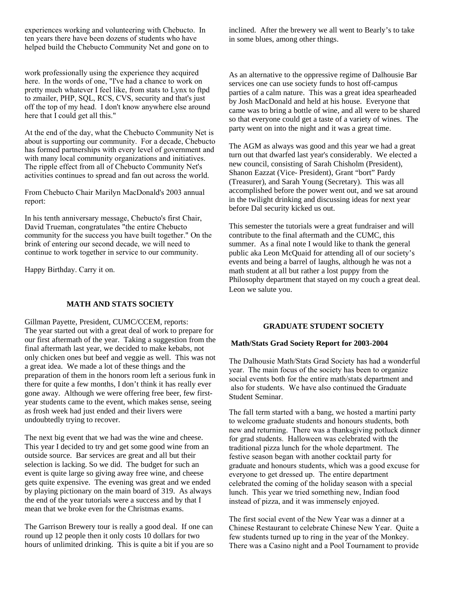experiences working and volunteering with Chebucto. In ten years there have been dozens of students who have helped build the Chebucto Community Net and gone on to

work professionally using the experience they acquired here. In the words of one, "I've had a chance to work on pretty much whatever I feel like, from stats to Lynx to ftpd to zmailer, PHP, SQL, RCS, CVS, security and that's just off the top of my head. I don't know anywhere else around here that I could get all this."

At the end of the day, what the Chebucto Community Net is about is supporting our community. For a decade, Chebucto has formed partnerships with every level of government and with many local community organizations and initiatives. The ripple effect from all of Chebucto Community Net's activities continues to spread and fan out across the world.

From Chebucto Chair Marilyn MacDonald's 2003 annual report:

In his tenth anniversary message, Chebucto's first Chair, David Trueman, congratulates "the entire Chebucto community for the success you have built together." On the brink of entering our second decade, we will need to continue to work together in service to our community.

Happy Birthday. Carry it on.

# **MATH AND STATS SOCIETY**

Gillman Payette, President, CUMC/CCEM, reports: The year started out with a great deal of work to prepare for our first aftermath of the year. Taking a suggestion from the final aftermath last year, we decided to make kebabs, not only chicken ones but beef and veggie as well. This was not a great idea. We made a lot of these things and the preparation of them in the honors room left a serious funk in there for quite a few months, I don't think it has really ever gone away. Although we were offering free beer, few firstyear students came to the event, which makes sense, seeing as frosh week had just ended and their livers were undoubtedly trying to recover.

The next big event that we had was the wine and cheese. This year I decided to try and get some good wine from an outside source. Bar services are great and all but their selection is lacking. So we did. The budget for such an event is quite large so giving away free wine, and cheese gets quite expensive. The evening was great and we ended by playing pictionary on the main board of 319. As always the end of the year tutorials were a success and by that I mean that we broke even for the Christmas exams.

The Garrison Brewery tour is really a good deal. If one can round up 12 people then it only costs 10 dollars for two hours of unlimited drinking. This is quite a bit if you are so inclined. After the brewery we all went to Bearly's to take in some blues, among other things.

As an alternative to the oppressive regime of Dalhousie Bar services one can use society funds to host off-campus parties of a calm nature. This was a great idea spearheaded by Josh MacDonald and held at his house. Everyone that came was to bring a bottle of wine, and all were to be shared so that everyone could get a taste of a variety of wines. The party went on into the night and it was a great time.

The AGM as always was good and this year we had a great turn out that dwarfed last year's considerably. We elected a new council, consisting of Sarah Chisholm (President), Shanon Eazzat (Vice- President), Grant "bort" Pardy (Treasurer), and Sarah Young (Secretary). This was all accomplished before the power went out, and we sat around in the twilight drinking and discussing ideas for next year before Dal security kicked us out.

This semester the tutorials were a great fundraiser and will contribute to the final aftermath and the CUMC, this summer. As a final note I would like to thank the general public aka Leon McQuaid for attending all of our society's events and being a barrel of laughs, although he was not a math student at all but rather a lost puppy from the Philosophy department that stayed on my couch a great deal. Leon we salute you.

#### **GRADUATE STUDENT SOCIETY**

#### **Math/Stats Grad Society Report for 2003-2004**

The Dalhousie Math/Stats Grad Society has had a wonderful year. The main focus of the society has been to organize social events both for the entire math/stats department and also for students. We have also continued the Graduate Student Seminar.

The fall term started with a bang, we hosted a martini party to welcome graduate students and honours students, both new and returning. There was a thanksgiving potluck dinner for grad students. Halloween was celebrated with the traditional pizza lunch for the whole department. The festive season began with another cocktail party for graduate and honours students, which was a good excuse for everyone to get dressed up. The entire department celebrated the coming of the holiday season with a special lunch. This year we tried something new, Indian food instead of pizza, and it was immensely enjoyed.

The first social event of the New Year was a dinner at a Chinese Restaurant to celebrate Chinese New Year. Quite a few students turned up to ring in the year of the Monkey. There was a Casino night and a Pool Tournament to provide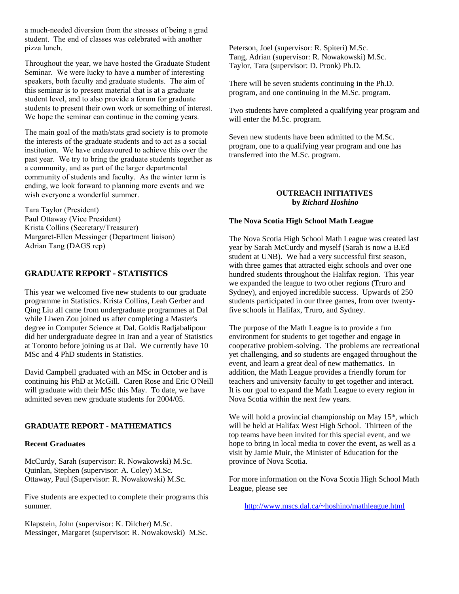a much-needed diversion from the stresses of being a grad student. The end of classes was celebrated with another pizza lunch.

Throughout the year, we have hosted the Graduate Student Seminar. We were lucky to have a number of interesting speakers, both faculty and graduate students. The aim of this seminar is to present material that is at a graduate student level, and to also provide a forum for graduate students to present their own work or something of interest. We hope the seminar can continue in the coming years.

The main goal of the math/stats grad society is to promote the interests of the graduate students and to act as a social institution. We have endeavoured to achieve this over the past year. We try to bring the graduate students together as a community, and as part of the larger departmental community of students and faculty. As the winter term is ending, we look forward to planning more events and we wish everyone a wonderful summer.

Tara Taylor (President) Paul Ottaway (Vice President) Krista Collins (Secretary/Treasurer) Margaret-Ellen Messinger (Department liaison) Adrian Tang (DAGS rep)

# **GRADUATE REPORT - STATISTICS**

This year we welcomed five new students to our graduate programme in Statistics. Krista Collins, Leah Gerber and Qing Liu all came from undergraduate programmes at Dal while Liwen Zou joined us after completing a Master's degree in Computer Science at Dal. Goldis Radjabalipour did her undergraduate degree in Iran and a year of Statistics at Toronto before joining us at Dal. We currently have 10 MSc and 4 PhD students in Statistics.

David Campbell graduated with an MSc in October and is continuing his PhD at McGill. Caren Rose and Eric O'Neill will graduate with their MSc this May. To date, we have admitted seven new graduate students for 2004/05.

#### **GRADUATE REPORT - MATHEMATICS**

#### **Recent Graduates**

McCurdy, Sarah (supervisor: R. Nowakowski) M.Sc. Quinlan, Stephen (supervisor: A. Coley) M.Sc. Ottaway, Paul (Supervisor: R. Nowakowski) M.Sc.

Five students are expected to complete their programs this summer.

Klapstein, John (supervisor: K. Dilcher) M.Sc. Messinger, Margaret (supervisor: R. Nowakowski) M.Sc. Peterson, Joel (supervisor: R. Spiteri) M.Sc. Tang, Adrian (supervisor: R. Nowakowski) M.Sc. Taylor, Tara (supervisor: D. Pronk) Ph.D.

There will be seven students continuing in the Ph.D. program, and one continuing in the M.Sc. program.

Two students have completed a qualifying year program and will enter the M.Sc. program.

Seven new students have been admitted to the M.Sc. program, one to a qualifying year program and one has transferred into the M.Sc. program.

#### **OUTREACH INITIATIVES by** *Richard Hoshino*

#### **The Nova Scotia High School Math League**

The Nova Scotia High School Math League was created last year by Sarah McCurdy and myself (Sarah is now a B.Ed student at UNB). We had a very successful first season, with three games that attracted eight schools and over one hundred students throughout the Halifax region. This year we expanded the league to two other regions (Truro and Sydney), and enjoyed incredible success. Upwards of 250 students participated in our three games, from over twentyfive schools in Halifax, Truro, and Sydney.

The purpose of the Math League is to provide a fun environment for students to get together and engage in cooperative problem-solving. The problems are recreational yet challenging, and so students are engaged throughout the event, and learn a great deal of new mathematics. In addition, the Math League provides a friendly forum for teachers and university faculty to get together and interact. It is our goal to expand the Math League to every region in Nova Scotia within the next few years.

We will hold a provincial championship on May 15<sup>th</sup>, which will be held at Halifax West High School. Thirteen of the top teams have been invited for this special event, and we hope to bring in local media to cover the event, as well as a visit by Jamie Muir, the Minister of Education for the province of Nova Scotia.

For more information on the Nova Scotia High School Math League, please see

http://www.mscs.dal.ca/~hoshino/mathleague.html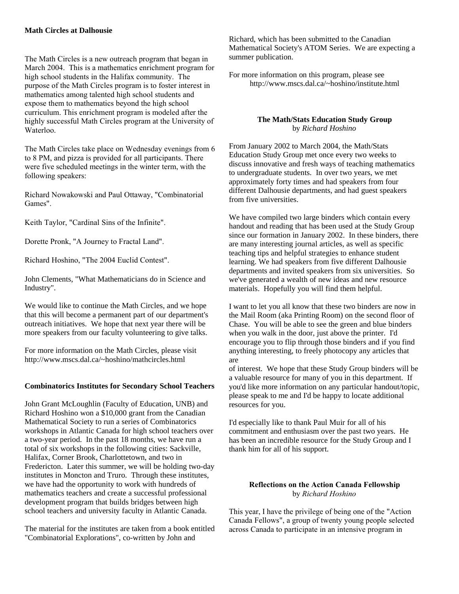#### **Math Circles at Dalhousie**

The Math Circles is a new outreach program that began in March 2004. This is a mathematics enrichment program for high school students in the Halifax community. The purpose of the Math Circles program is to foster interest in mathematics among talented high school students and expose them to mathematics beyond the high school curriculum. This enrichment program is modeled after the highly successful Math Circles program at the University of Waterloo.

The Math Circles take place on Wednesday evenings from 6 to 8 PM, and pizza is provided for all participants. There were five scheduled meetings in the winter term, with the following speakers:

Richard Nowakowski and Paul Ottaway, "Combinatorial Games".

Keith Taylor, "Cardinal Sins of the Infinite".

Dorette Pronk, "A Journey to Fractal Land".

Richard Hoshino, "The 2004 Euclid Contest".

John Clements, "What Mathematicians do in Science and Industry".

We would like to continue the Math Circles, and we hope that this will become a permanent part of our department's outreach initiatives. We hope that next year there will be more speakers from our faculty volunteering to give talks.

For more information on the Math Circles, please visit http://www.mscs.dal.ca/~hoshino/mathcircles.html

#### **Combinatorics Institutes for Secondary School Teachers**

John Grant McLoughlin (Faculty of Education, UNB) and Richard Hoshino won a \$10,000 grant from the Canadian Mathematical Society to run a series of Combinatorics workshops in Atlantic Canada for high school teachers over a two-year period. In the past 18 months, we have run a total of six workshops in the following cities: Sackville, Halifax, Corner Brook, Charlottetown, and two in Fredericton. Later this summer, we will be holding two-day institutes in Moncton and Truro. Through these institutes, we have had the opportunity to work with hundreds of mathematics teachers and create a successful professional development program that builds bridges between high school teachers and university faculty in Atlantic Canada.

The material for the institutes are taken from a book entitled "Combinatorial Explorations", co-written by John and

Richard, which has been submitted to the Canadian Mathematical Society's ATOM Series. We are expecting a summer publication.

For more information on this program, please see http://www.mscs.dal.ca/~hoshino/institute.html

# **The Math/Stats Education Study Group** by *Richard Hoshino*

From January 2002 to March 2004, the Math/Stats Education Study Group met once every two weeks to discuss innovative and fresh ways of teaching mathematics to undergraduate students. In over two years, we met approximately forty times and had speakers from four different Dalhousie departments, and had guest speakers from five universities.

We have compiled two large binders which contain every handout and reading that has been used at the Study Group since our formation in January 2002. In these binders, there are many interesting journal articles, as well as specific teaching tips and helpful strategies to enhance student learning. We had speakers from five different Dalhousie departments and invited speakers from six universities. So we've generated a wealth of new ideas and new resource materials. Hopefully you will find them helpful.

I want to let you all know that these two binders are now in the Mail Room (aka Printing Room) on the second floor of Chase. You will be able to see the green and blue binders when you walk in the door, just above the printer. I'd encourage you to flip through those binders and if you find anything interesting, to freely photocopy any articles that are

of interest. We hope that these Study Group binders will be a valuable resource for many of you in this department. If you'd like more information on any particular handout/topic, please speak to me and I'd be happy to locate additional resources for you.

I'd especially like to thank Paul Muir for all of his commitment and enthusiasm over the past two years. He has been an incredible resource for the Study Group and I thank him for all of his support.

#### **Reflections on the Action Canada Fellowship** by *Richard Hoshino*

This year, I have the privilege of being one of the "Action Canada Fellows", a group of twenty young people selected across Canada to participate in an intensive program in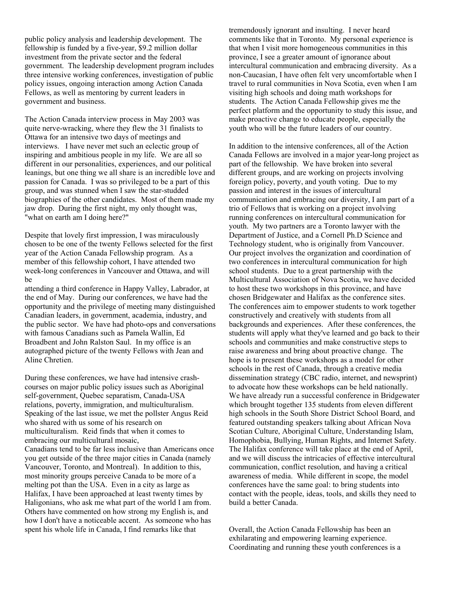public policy analysis and leadership development. The fellowship is funded by a five-year, \$9.2 million dollar investment from the private sector and the federal government. The leadership development program includes three intensive working conferences, investigation of public policy issues, ongoing interaction among Action Canada Fellows, as well as mentoring by current leaders in government and business.

The Action Canada interview process in May 2003 was quite nerve-wracking, where they flew the 31 finalists to Ottawa for an intensive two days of meetings and interviews. I have never met such an eclectic group of inspiring and ambitious people in my life. We are all so different in our personalities, experiences, and our political leanings, but one thing we all share is an incredible love and passion for Canada. I was so privileged to be a part of this group, and was stunned when I saw the star-studded biographies of the other candidates. Most of them made my jaw drop. During the first night, my only thought was, "what on earth am I doing here?"

Despite that lovely first impression, I was miraculously chosen to be one of the twenty Fellows selected for the first year of the Action Canada Fellowship program. As a member of this fellowship cohort, I have attended two week-long conferences in Vancouver and Ottawa, and will be

attending a third conference in Happy Valley, Labrador, at the end of May. During our conferences, we have had the opportunity and the privilege of meeting many distinguished Canadian leaders, in government, academia, industry, and the public sector. We have had photo-ops and conversations with famous Canadians such as Pamela Wallin, Ed Broadbent and John Ralston Saul. In my office is an autographed picture of the twenty Fellows with Jean and Aline Chretien.

During these conferences, we have had intensive crashcourses on major public policy issues such as Aboriginal self-government, Quebec separatism, Canada-USA relations, poverty, immigration, and multiculturalism. Speaking of the last issue, we met the pollster Angus Reid who shared with us some of his research on multiculturalism. Reid finds that when it comes to embracing our multicultural mosaic, Canadians tend to be far less inclusive than Americans once you get outside of the three major cities in Canada (namely Vancouver, Toronto, and Montreal). In addition to this, most minority groups perceive Canada to be more of a melting pot than the USA. Even in a city as large as Halifax, I have been approached at least twenty times by Haligonians, who ask me what part of the world I am from. Others have commented on how strong my English is, and how I don't have a noticeable accent. As someone who has spent his whole life in Canada, I find remarks like that

tremendously ignorant and insulting. I never heard comments like that in Toronto. My personal experience is that when I visit more homogeneous communities in this province, I see a greater amount of ignorance about intercultural communication and embracing diversity. As a non-Caucasian, I have often felt very uncomfortable when I travel to rural communities in Nova Scotia, even when I am visiting high schools and doing math workshops for students. The Action Canada Fellowship gives me the perfect platform and the opportunity to study this issue, and make proactive change to educate people, especially the youth who will be the future leaders of our country.

In addition to the intensive conferences, all of the Action Canada Fellows are involved in a major year-long project as part of the fellowship. We have broken into several different groups, and are working on projects involving foreign policy, poverty, and youth voting. Due to my passion and interest in the issues of intercultural communication and embracing our diversity, I am part of a trio of Fellows that is working on a project involving running conferences on intercultural communication for youth. My two partners are a Toronto lawyer with the Department of Justice, and a Cornell Ph.D Science and Technology student, who is originally from Vancouver. Our project involves the organization and coordination of two conferences in intercultural communication for high school students. Due to a great partnership with the Multicultural Association of Nova Scotia, we have decided to host these two workshops in this province, and have chosen Bridgewater and Halifax as the conference sites. The conferences aim to empower students to work together constructively and creatively with students from all backgrounds and experiences. After these conferences, the students will apply what they've learned and go back to their schools and communities and make constructive steps to raise awareness and bring about proactive change. The hope is to present these workshops as a model for other schools in the rest of Canada, through a creative media dissemination strategy (CBC radio, internet, and newsprint) to advocate how these workshops can be held nationally. We have already run a successful conference in Bridgewater which brought together 135 students from eleven different high schools in the South Shore District School Board, and featured outstanding speakers talking about African Nova Scotian Culture, Aboriginal Culture, Understanding Islam, Homophobia, Bullying, Human Rights, and Internet Safety. The Halifax conference will take place at the end of April, and we will discuss the intricacies of effective intercultural communication, conflict resolution, and having a critical awareness of media. While different in scope, the model conferences have the same goal: to bring students into contact with the people, ideas, tools, and skills they need to build a better Canada.

Overall, the Action Canada Fellowship has been an exhilarating and empowering learning experience. Coordinating and running these youth conferences is a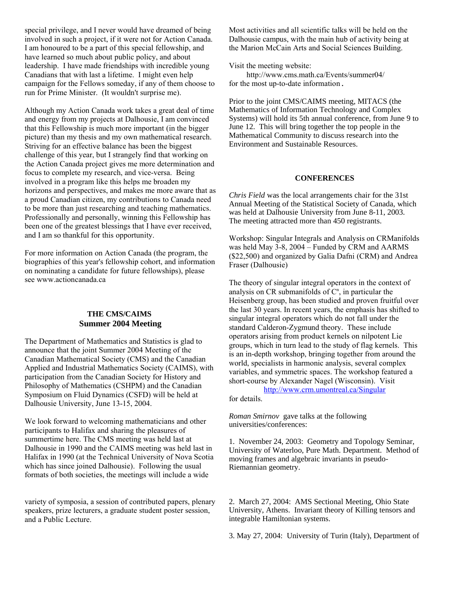special privilege, and I never would have dreamed of being involved in such a project, if it were not for Action Canada. I am honoured to be a part of this special fellowship, and have learned so much about public policy, and about leadership. I have made friendships with incredible young Canadians that with last a lifetime. I might even help campaign for the Fellows someday, if any of them choose to run for Prime Minister. (It wouldn't surprise me).

Although my Action Canada work takes a great deal of time and energy from my projects at Dalhousie, I am convinced that this Fellowship is much more important (in the bigger picture) than my thesis and my own mathematical research. Striving for an effective balance has been the biggest challenge of this year, but I strangely find that working on the Action Canada project gives me more determination and focus to complete my research, and vice-versa. Being involved in a program like this helps me broaden my horizons and perspectives, and makes me more aware that as a proud Canadian citizen, my contributions to Canada need to be more than just researching and teaching mathematics. Professionally and personally, winning this Fellowship has been one of the greatest blessings that I have ever received, and I am so thankful for this opportunity.

For more information on Action Canada (the program, the biographies of this year's fellowship cohort, and information on nominating a candidate for future fellowships), please see www.actioncanada.ca

# **THE CMS/CAIMS Summer 2004 Meeting**

The Department of Mathematics and Statistics is glad to announce that the joint Summer 2004 Meeting of the Canadian Mathematical Society (CMS) and the Canadian Applied and Industrial Mathematics Society (CAIMS), with participation from the Canadian Society for History and Philosophy of Mathematics (CSHPM) and the Canadian Symposium on Fluid Dynamics (CSFD) will be held at Dalhousie University, June 13-15, 2004.

We look forward to welcoming mathematicians and other participants to Halifax and sharing the pleasures of summertime here. The CMS meeting was held last at Dalhousie in 1990 and the CAIMS meeting was held last in Halifax in 1990 (at the Technical University of Nova Scotia which has since joined Dalhousie). Following the usual formats of both societies, the meetings will include a wide

variety of symposia, a session of contributed papers, plenary speakers, prize lecturers, a graduate student poster session, and a Public Lecture.

Most activities and all scientific talks will be held on the Dalhousie campus, with the main hub of activity being at the Marion McCain Arts and Social Sciences Building.

Visit the meeting website:

 http://www.cms.math.ca/Events/summer04/ for the most up-to-date information.

Prior to the joint CMS/CAIMS meeting, MITACS (the Mathematics of Information Technology and Complex Systems) will hold its 5th annual conference, from June 9 to June 12. This will bring together the top people in the Mathematical Community to discuss research into the Environment and Sustainable Resources.

#### **CONFERENCES**

*Chris Field* was the local arrangements chair for the 31st Annual Meeting of the Statistical Society of Canada, which was held at Dalhousie University from June 8-11, 2003. The meeting attracted more than 450 registrants.

Workshop: Singular Integrals and Analysis on CRManifolds was held May 3-8, 2004 – Funded by CRM and AARMS (\$22,500) and organized by Galia Dafni (CRM) and Andrea Fraser (Dalhousie)

The theory of singular integral operators in the context of analysis on CR submanifolds of  $C<sup>n</sup>$ , in particular the Heisenberg group, has been studied and proven fruitful over the last 30 years. In recent years, the emphasis has shifted to singular integral operators which do not fall under the standard Calderon-Zygmund theory. These include operators arising from product kernels on nilpotent Lie groups, which in turn lead to the study of flag kernels. This is an in-depth workshop, bringing together from around the world, specialists in harmonic analysis, several complex variables, and symmetric spaces. The workshop featured a short-course by Alexander Nagel (Wisconsin). Visit

http://www.crm.umontreal.ca/Singular for details.

*Roman Smirnov* gave talks at the following universities/conferences:

1. November 24, 2003: Geometry and Topology Seminar, University of Waterloo, Pure Math. Department. Method of moving frames and algebraic invariants in pseudo-Riemannian geometry.

2. March 27, 2004: AMS Sectional Meeting, Ohio State University, Athens. Invariant theory of Killing tensors and integrable Hamiltonian systems.

3. May 27, 2004: University of Turin (Italy), Department of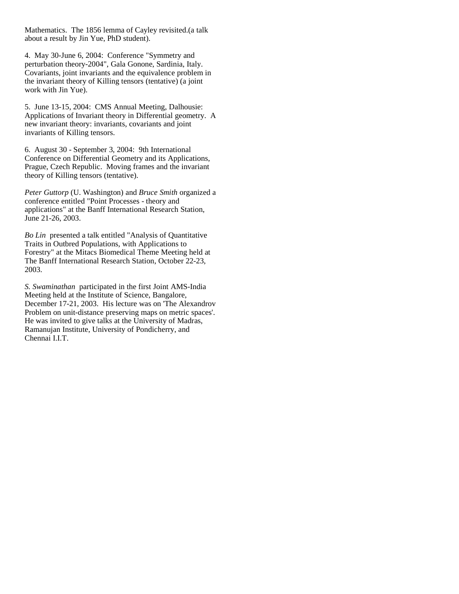Mathematics. The 1856 lemma of Cayley revisited.(a talk about a result by Jin Yue, PhD student).

4. May 30-June 6, 2004: Conference "Symmetry and perturbation theory-2004", Gala Gonone, Sardinia, Italy. Covariants, joint invariants and the equivalence problem in the invariant theory of Killing tensors (tentative) (a joint work with Jin Yue).

5. June 13-15, 2004: CMS Annual Meeting, Dalhousie: Applications of Invariant theory in Differential geometry. A new invariant theory: invariants, covariants and joint invariants of Killing tensors.

6. August 30 - September 3, 2004: 9th International Conference on Differential Geometry and its Applications, Prague, Czech Republic. Moving frames and the invariant theory of Killing tensors (tentative).

*Peter Guttorp* (U. Washington) and *Bruce Smith* organized a conference entitled "Point Processes - theory and applications" at the Banff International Research Station, June 21-26, 2003.

*Bo Lin* presented a talk entitled "Analysis of Quantitative Traits in Outbred Populations, with Applications to Forestry" at the Mitacs Biomedical Theme Meeting held at The Banff International Research Station, October 22-23, 2003.

*S. Swaminathan* participated in the first Joint AMS-India Meeting held at the Institute of Science, Bangalore, December 17-21, 2003. His lecture was on 'The Alexandrov Problem on unit-distance preserving maps on metric spaces'. He was invited to give talks at the University of Madras, Ramanujan Institute, University of Pondicherry, and Chennai I.I.T.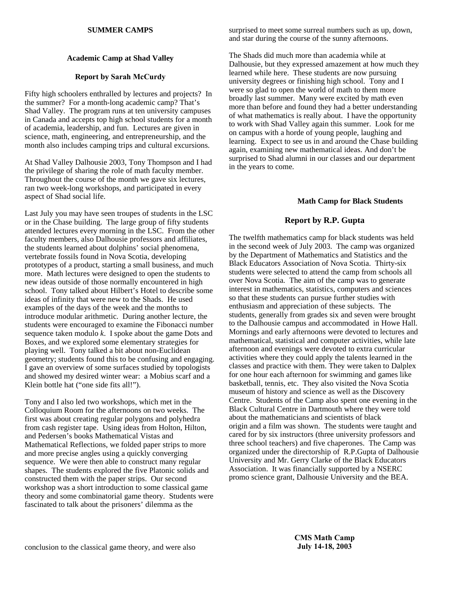#### **SUMMER CAMPS**

# **Academic Camp at Shad Valley**

#### **Report by Sarah McCurdy**

Fifty high schoolers enthralled by lectures and projects? In the summer? For a month-long academic camp? That's Shad Valley. The program runs at ten university campuses in Canada and accepts top high school students for a month of academia, leadership, and fun. Lectures are given in science, math, engineering, and entrepreneurship, and the month also includes camping trips and cultural excursions.

At Shad Valley Dalhousie 2003, Tony Thompson and I had the privilege of sharing the role of math faculty member. Throughout the course of the month we gave six lectures, ran two week-long workshops, and participated in every aspect of Shad social life.

Last July you may have seen troupes of students in the LSC or in the Chase building. The large group of fifty students attended lectures every morning in the LSC. From the other faculty members, also Dalhousie professors and affiliates, the students learned about dolphins' social phenomena, vertebrate fossils found in Nova Scotia, developing prototypes of a product, starting a small business, and much more. Math lectures were designed to open the students to new ideas outside of those normally encountered in high school. Tony talked about Hilbert's Hotel to describe some ideas of infinity that were new to the Shads. He used examples of the days of the week and the months to introduce modular arithmetic. During another lecture, the students were encouraged to examine the Fibonacci number sequence taken modulo *k*. I spoke about the game Dots and Boxes, and we explored some elementary strategies for playing well. Tony talked a bit about non-Euclidean geometry; students found this to be confusing and engaging. I gave an overview of some surfaces studied by topologists and showed my desired winter wear: a Mobius scarf and a Klein bottle hat ("one side fits all!").

Tony and I also led two workshops, which met in the Colloquium Room for the afternoons on two weeks. The first was about creating regular polygons and polyhedra from cash register tape. Using ideas from Holton, Hilton, and Pedersen's books Mathematical Vistas and Mathematical Reflections, we folded paper strips to more and more precise angles using a quickly converging sequence. We were then able to construct many regular shapes. The students explored the five Platonic solids and constructed them with the paper strips. Our second workshop was a short introduction to some classical game theory and some combinatorial game theory. Students were fascinated to talk about the prisoners' dilemma as the

surprised to meet some surreal numbers such as up, down, and star during the course of the sunny afternoons.

The Shads did much more than academia while at Dalhousie, but they expressed amazement at how much they learned while here. These students are now pursuing university degrees or finishing high school. Tony and I were so glad to open the world of math to them more broadly last summer. Many were excited by math even more than before and found they had a better understanding of what mathematics is really about. I have the opportunity to work with Shad Valley again this summer. Look for me on campus with a horde of young people, laughing and learning. Expect to see us in and around the Chase building again, examining new mathematical ideas. And don't be surprised to Shad alumni in our classes and our department in the years to come.

#### **Math Camp for Black Students**

# **Report by R.P. Gupta**

The twelfth mathematics camp for black students was held in the second week of July 2003. The camp was organized by the Department of Mathematics and Statistics and the Black Educators Association of Nova Scotia. Thirty-six students were selected to attend the camp from schools all over Nova Scotia. The aim of the camp was to generate interest in mathematics, statistics, computers and sciences so that these students can pursue further studies with enthusiasm and appreciation of these subjects. The students, generally from grades six and seven were brought to the Dalhousie campus and accommodated in Howe Hall. Mornings and early afternoons were devoted to lectures and mathematical, statistical and computer activities, while late afternoon and evenings were devoted to extra curricular activities where they could apply the talents learned in the classes and practice with them. They were taken to Dalplex for one hour each afternoon for swimming and games like basketball, tennis, etc. They also visited the Nova Scotia museum of history and science as well as the Discovery Centre. Students of the Camp also spent one evening in the Black Cultural Centre in Dartmouth where they were told about the mathematicians and scientists of black origin and a film was shown. The students were taught and cared for by six instructors (three university professors and three school teachers) and five chaperones. The Camp was organized under the directorship of R.P.Gupta of Dalhousie University and Mr. Gerry Clarke of the Black Educators Association. It was financially supported by a NSERC promo science grant, Dalhousie University and the BEA.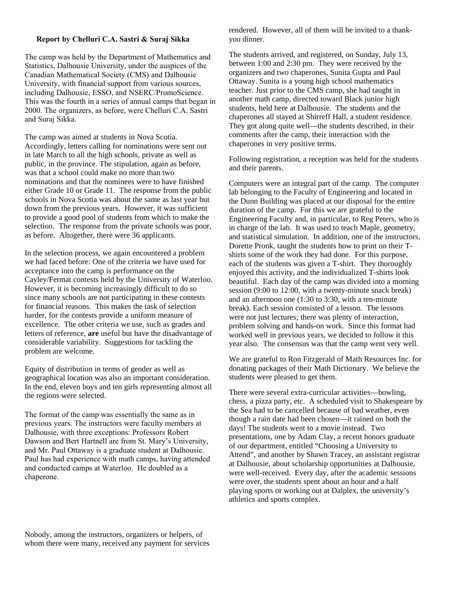#### **Report by Chelluri C.A. Sastri & Suraj Sikka**

The camp was held by the Department of Mathematics and Statistics, Dalhousie University, under the auspices of the Canadian Mathematical Society (CMS) and Dalhousie University, with financial support from various sources, including Dalhousie, ESSO, and NSERC/PromoScience. This was the fourth in a series of annual camps that began in 2000. The organizers, as before, were Chelluri C.A. Sastri and Suraj Sikka.

The camp was aimed at students in Nova Scotia. Accordingly, letters calling for nominations were sent out in late March to all the high schools, private as well as public, in the province. The stipulation, again as before, was that a school could make no more than two nominations and that the nominees were to have finished either Grade 10 or Grade 11. The response from the public schools in Nova Scotia was about the same as last year but down from the previous years. However, it was sufficient to provide a good pool of students from which to make the selection. The response from the private schools was poor, as before. Altogether, there were 36 applicants.

In the selection process, we again encountered a problem we had faced before: One of the criteria we have used for acceptance into the camp is performance on the Cayley/Fermat contests held by the University of Waterloo. However, it is becoming increasingly difficult to do so since many schools are not participating in these contests for financial reasons. This makes the task of selection harder, for the contests provide a uniform measure of excellence. The other criteria we use, such as grades and letters of reference, **are** useful but have the disadvantage of considerable variability. Suggestions for tackling the problem are welcome.

Equity of distribution in terms of gender as well as geographical location was also an important consideration. In the end, eleven boys and ten girls representing almost all the regions were selected.

The format of the camp was essentially the same as in previous years. The instructors were faculty members at Dalhousie, with three exceptions: Professors Robert Dawson and Bert Hartnell are from St. Mary's University, and Mr. Paul Ottaway is a graduate student at Dalhousie. Paul has had experience with math camps, having attended and conducted camps at Waterloo. He doubled as a chaperone.

rendered. However, all of them will be invited to a thankyou dinner.

The students arrived, and registered, on Sunday, July 13, between 1:00 and 2:30 pm. They were received by the organizers and two chaperones, Sunita Gupta and Paul Ottaway. Sunita is a young high school mathematics teacher. Just prior to the CMS camp, she had taught in another math camp, directed toward Black junior high students, held here at Dalhousie. The students and the chaperones all stayed at Shirreff Hall, a student residence. They got along quite well—the students described, in their comments after the camp, their interaction with the chaperones in very positive terms.

Following registration, a reception was held for the students and their parents.

Computers were an integral part of the camp. The computer lab belonging to the Faculty of Engineering and located in the Dunn Building was placed at our disposal for the entire duration of the camp. For this we are grateful to the Engineering Faculty and, in particular, to Reg Peters, who is in charge of the lab. It was used to teach Maple, geometry, and statistical simulation. In addition, one of the instructors, Dorette Pronk, taught the students how to print on their Tshirts some of the work they had done. For this purpose, each of the students was given a T-shirt. They thoroughly enjoyed this activity, and the individualized T-shirts look beautiful. Each day of the camp was divided into a morning session (9:00 to 12:00, with a twenty-minute snack break) and an afternoon one (1:30 to 3:30, with a ten-minute break). Each session consisted of a lesson. The lessons were not just lectures; there was plenty of interaction, problem solving and hands-on work. Since this format had worked well in previous years, we decided to follow it this year also. The consensus was that the camp went very well.

We are grateful to Ron Fitzgerald of Math Resources Inc. for donating packages of their Math Dictionary. We believe the students were pleased to get them.

There were several extra-curricular activities—bowling, chess, a pizza party, etc. A scheduled visit to Shakespeare by the Sea had to be cancelled because of bad weather, even though a rain date had been chosen—it rained on both the days! The students went to a movie instead. Two presentations, one by Adam Clay, a recent honors graduate of our department, entitled "Choosing a University to Attend", and another by Shawn Tracey, an assistant registrar at Dalhousie, about scholarship opportunities at Dalhousie, were well-received. Every day, after the academic sessions were over, the students spent about an hour and a half playing sports or working out at Dalplex, the university's athletics and sports complex.

Nobody, among the instructors, organizers or helpers, of whom there were many, received any payment for services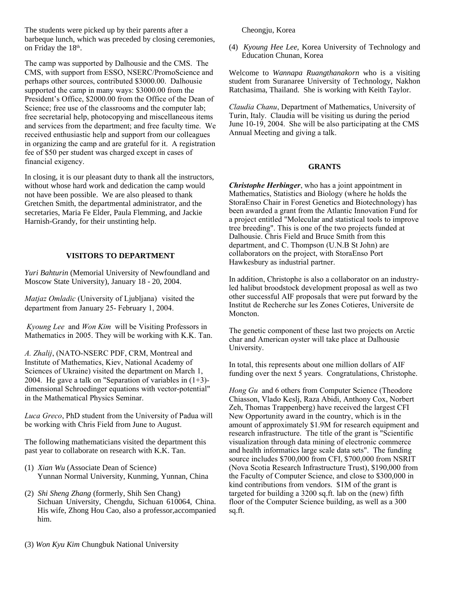The students were picked up by their parents after a barbeque lunch, which was preceded by closing ceremonies, on Friday the 18<sup>th</sup>.

The camp was supported by Dalhousie and the CMS. The CMS, with support from ESSO, NSERC/PromoScience and perhaps other sources, contributed \$3000.00. Dalhousie supported the camp in many ways: \$3000.00 from the President's Office, \$2000.00 from the Office of the Dean of Science; free use of the classrooms and the computer lab; free secretarial help, photocopying and miscellaneous items and services from the department; and free faculty time. We received enthusiastic help and support from our colleagues in organizing the camp and are grateful for it. A registration fee of \$50 per student was charged except in cases of financial exigency.

In closing, it is our pleasant duty to thank all the instructors, without whose hard work and dedication the camp would not have been possible. We are also pleased to thank Gretchen Smith, the departmental administrator, and the secretaries, Maria Fe Elder, Paula Flemming, and Jackie Harnish-Grandy, for their unstinting help.

# **VISITORS TO DEPARTMENT**

*Yuri Bahturin* (Memorial University of Newfoundland and Moscow State University), January 18 - 20, 2004.

*Matjaz Omladic* (University of Ljubljana) visited the department from January 25- February 1, 2004.

*Kyoung Lee* and *Won Kim* will be Visiting Professors in Mathematics in 2005. They will be working with K.K. Tan.

*A. Zhalij*, (NATO-NSERC PDF, CRM, Montreal and Institute of Mathematics, Kiev, National Academy of Sciences of Ukraine) visited the department on March 1, 2004. He gave a talk on "Separation of variables in  $(1+3)$ dimensional Schroedinger equations with vector-potential" in the Mathematical Physics Seminar.

*Luca Greco*, PhD student from the University of Padua will be working with Chris Field from June to August.

The following mathematicians visited the department this past year to collaborate on research with K.K. Tan.

- (1) *Xian Wu* (Associate Dean of Science) Yunnan Normal University, Kunming, Yunnan, China
- (2) *Shi Sheng Zhang* (formerly, Shih Sen Chang) Sichuan University, Chengdu, Sichuan 610064, China. His wife, Zhong Hou Cao, also a professor,accompanied him.

Cheongju, Korea

(4) *Kyoung Hee Lee,* Korea University of Technology and Education Chunan, Korea

Welcome to *Wannapa Ruangthanakorn* who is a visiting student from Suranaree University of Technology, Nakhon Ratchasima, Thailand. She is working with Keith Taylor.

*Claudia Chanu*, Department of Mathematics, University of Turin, Italy. Claudia will be visiting us during the period June 10-19, 2004. She will be also participating at the CMS Annual Meeting and giving a talk.

#### **GRANTS**

*Christophe Herbinger*, who has a joint appointment in Mathematics, Statistics and Biology (where he holds the StoraEnso Chair in Forest Genetics and Biotechnology) has been awarded a grant from the Atlantic Innovation Fund for a project entitled "Molecular and statistical tools to improve tree breeding". This is one of the two projects funded at Dalhousie. Chris Field and Bruce Smith from this department, and C. Thompson (U.N.B St John) are collaborators on the project, with StoraEnso Port Hawkesbury as industrial partner.

In addition, Christophe is also a collaborator on an industryled halibut broodstock development proposal as well as two other successful AIF proposals that were put forward by the Institut de Recherche sur les Zones Cotieres, Universite de Moncton.

The genetic component of these last two projects on Arctic char and American oyster will take place at Dalhousie University.

In total, this represents about one million dollars of AIF funding over the next 5 years. Congratulations, Christophe.

*Hong Gu* and 6 others from Computer Science (Theodore) Chiasson, Vlado Keslj, Raza Abidi, Anthony Cox, Norbert Zeh, Thomas Trappenberg) have received the largest CFI New Opportunity award in the country, which is in the amount of approximately \$1.9M for research equipment and research infrastructure. The title of the grant is "Scientific visualization through data mining of electronic commerce and health informatics large scale data sets". The funding source includes \$700,000 from CFI, \$700,000 from NSRIT (Nova Scotia Research Infrastructure Trust), \$190,000 from the Faculty of Computer Science, and close to \$300,000 in kind contributions from vendors. \$1M of the grant is targeted for building a 3200 sq.ft. lab on the (new) fifth floor of the Computer Science building, as well as a 300 sq.ft.

(3) *Won Kyu Kim* Chungbuk National University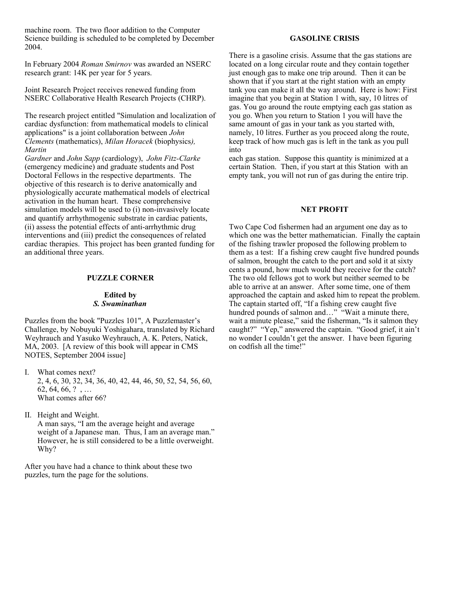machine room. The two floor addition to the Computer Science building is scheduled to be completed by December 2004.

In February 2004 *Roman Smirnov* was awarded an NSERC research grant: 14K per year for 5 years.

Joint Research Project receives renewed funding from NSERC Collaborative Health Research Projects (CHRP).

The research project entitled "Simulation and localization of cardiac dysfunction: from mathematical models to clinical applications" is a joint collaboration between *John Clements* (mathematics), *Milan Horacek* (biophysics*), Martin*

*Gardner* and *John Sapp* (cardiology), *John Fitz-Clarke* (emergency medicine) and graduate students and Post Doctoral Fellows in the respective departments. The objective of this research is to derive anatomically and physiologically accurate mathematical models of electrical activation in the human heart. These comprehensive simulation models will be used to (i) non-invasively locate and quantify arrhythmogenic substrate in cardiac patients, (ii) assess the potential effects of anti-arrhythmic drug interventions and (iii) predict the consequences of related cardiac therapies. This project has been granted funding for an additional three years.

#### **PUZZLE CORNER**

#### **Edited by** *S. Swaminathan*

Puzzles from the book "Puzzles 101", A Puzzlemaster's Challenge, by Nobuyuki Yoshigahara, translated by Richard Weyhrauch and Yasuko Weyhrauch, A. K. Peters, Natick, MA, 2003. [A review of this book will appear in CMS NOTES, September 2004 issue]

- I. What comes next? 2, 4, 6, 30, 32, 34, 36, 40, 42, 44, 46, 50, 52, 54, 56, 60, 62, 64, 66, ?, ... What comes after 66?
- II. Height and Weight.

A man says, "I am the average height and average weight of a Japanese man. Thus, I am an average man." However, he is still considered to be a little overweight. Why?

After you have had a chance to think about these two puzzles, turn the page for the solutions.

#### **GASOLINE CRISIS**

There is a gasoline crisis. Assume that the gas stations are located on a long circular route and they contain together just enough gas to make one trip around. Then it can be shown that if you start at the right station with an empty tank you can make it all the way around. Here is how: First imagine that you begin at Station 1 with, say, 10 litres of gas. You go around the route emptying each gas station as you go. When you return to Station 1 you will have the same amount of gas in your tank as you started with, namely, 10 litres. Further as you proceed along the route, keep track of how much gas is left in the tank as you pull into

each gas station. Suppose this quantity is minimized at a certain Station. Then, if you start at this Station with an empty tank, you will not run of gas during the entire trip.

#### **NET PROFIT**

Two Cape Cod fishermen had an argument one day as to which one was the better mathematician. Finally the captain of the fishing trawler proposed the following problem to them as a test: If a fishing crew caught five hundred pounds of salmon, brought the catch to the port and sold it at sixty cents a pound, how much would they receive for the catch? The two old fellows got to work but neither seemed to be able to arrive at an answer. After some time, one of them approached the captain and asked him to repeat the problem. The captain started off, "If a fishing crew caught five hundred pounds of salmon and…" "Wait a minute there, wait a minute please," said the fisherman, "Is it salmon they caught?" "Yep," answered the captain. "Good grief, it ain't no wonder I couldn't get the answer. I have been figuring on codfish all the time!"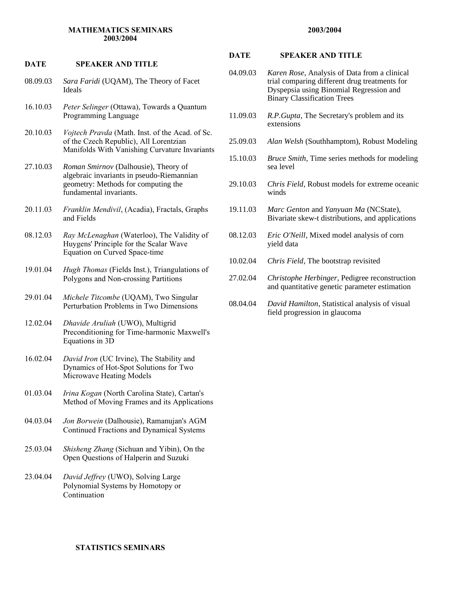#### **MATHEMATICS SEMINARS 2003/2004**

#### **DATE SPEAKER AND TITLE**

- 08.09.03 *Sara Faridi* (UQAM), The Theory of Facet Ideals
- 16.10.03 *Peter Selinger* (Ottawa), Towards a Quantum Programming Language
- 20.10.03 *Vojtech Pravda* (Math. Inst. of the Acad. of Sc. of the Czech Republic), All Lorentzian Manifolds With Vanishing Curvature Invariants
- 27.10.03 *Roman Smirnov* (Dalhousie), Theory of algebraic invariants in pseudo-Riemannian geometry: Methods for computing the fundamental invariants.
- 20.11.03 *Franklin Mendivil*, (Acadia), Fractals, Graphs and Fields
- 08.12.03 *Ray McLenaghan* (Waterloo), The Validity of Huygens' Principle for the Scalar Wave Equation on Curved Space-time
- 19.01.04 *Hugh Thomas* (Fields Inst.), Triangulations of Polygons and Non-crossing Partitions
- 29.01.04 *Michele Titcombe* (UQAM), Two Singular Perturbation Problems in Two Dimensions
- 12.02.04 *Dhavide Aruliah* (UWO), Multigrid Preconditioning for Time-harmonic Maxwell's Equations in 3D
- 16.02.04 *David Iron* (UC Irvine), The Stability and Dynamics of Hot-Spot Solutions for Two Microwave Heating Models
- 01.03.04 *Irina Kogan* (North Carolina State), Cartan's Method of Moving Frames and its Applications
- 04.03.04 *Jon Borwein* (Dalhousie), Ramanujan's AGM Continued Fractions and Dynamical Systems
- 25.03.04 *Shisheng Zhang* (Sichuan and Yibin), On the Open Questions of Halperin and Suzuki
- 23.04.04 *David Jeffrey* (UWO), Solving Large Polynomial Systems by Homotopy or Continuation

#### **DATE SPEAKER AND TITLE**

- 04.09.03 *Karen Rose*, Analysis of Data from a clinical trial comparing different drug treatments for Dyspepsia using Binomial Regression and Binary Classification Trees
- 11.09.03 *R.P.Gupta*, The Secretary's problem and its extensions
- 25.09.03 *Alan Welsh* (Southhamptom), Robust Modeling
- 15.10.03 *Bruce Smith*, Time series methods for modeling sea level
- 29.10.03 *Chris Field*, Robust models for extreme oceanic winds
- 19.11.03 *Marc Genton* and *Yanyuan Ma* (NCState), Bivariate skew-t distributions, and applications
- 08.12.03 *Eric O'Neill*, Mixed model analysis of corn yield data
- 10.02.04 *Chris Field*, The bootstrap revisited
- 27.02.04 *Christophe Herbinger*, Pedigree reconstruction and quantitative genetic parameter estimation
- 08.04.04 *David Hamilton*, Statistical analysis of visual field progression in glaucoma

#### **2003/2004**

# **STATISTICS SEMINARS**